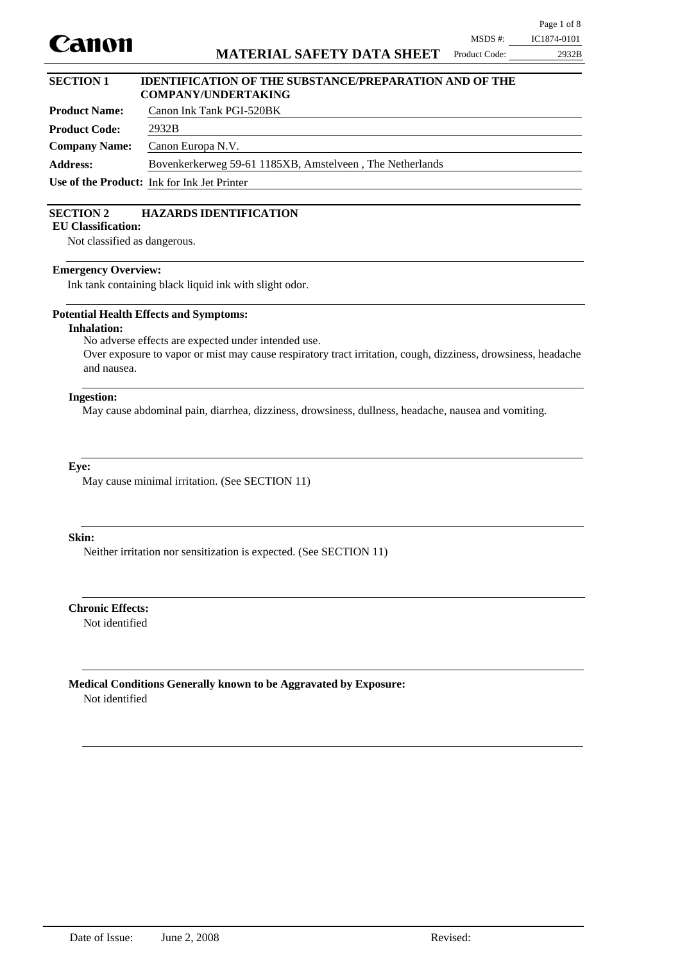

Product Code: 2932B

# **SECTION 1 IDENTIFICATION OF THE SUBSTANCE/PREPARATION AND OF THE COMPANY/UNDERTAKING**

| <b>Product Name:</b> | Canon Ink Tank PGI-520BK                                 |
|----------------------|----------------------------------------------------------|
| <b>Product Code:</b> | 2932B                                                    |
| <b>Company Name:</b> | Canon Europa N.V.                                        |
| <b>Address:</b>      | Bovenkerkerweg 59-61 1185XB, Amstelveen, The Netherlands |
|                      | Use of the Product: Ink for Ink Jet Printer              |

### **SECTION 2 HAZARDS IDENTIFICATION**

**EU Classification:**

Not classified as dangerous.

#### **Emergency Overview:**

Ink tank containing black liquid ink with slight odor.

#### **Potential Health Effects and Symptoms:**

**Inhalation:**

No adverse effects are expected under intended use.

Over exposure to vapor or mist may cause respiratory tract irritation, cough, dizziness, drowsiness, headache and nausea.

#### **Ingestion:**

May cause abdominal pain, diarrhea, dizziness, drowsiness, dullness, headache, nausea and vomiting.

#### **Eye:**

May cause minimal irritation. (See SECTION 11)

#### **Skin:**

Neither irritation nor sensitization is expected. (See SECTION 11)

Not identified **Chronic Effects:**

Not identified **Medical Conditions Generally known to be Aggravated by Exposure:**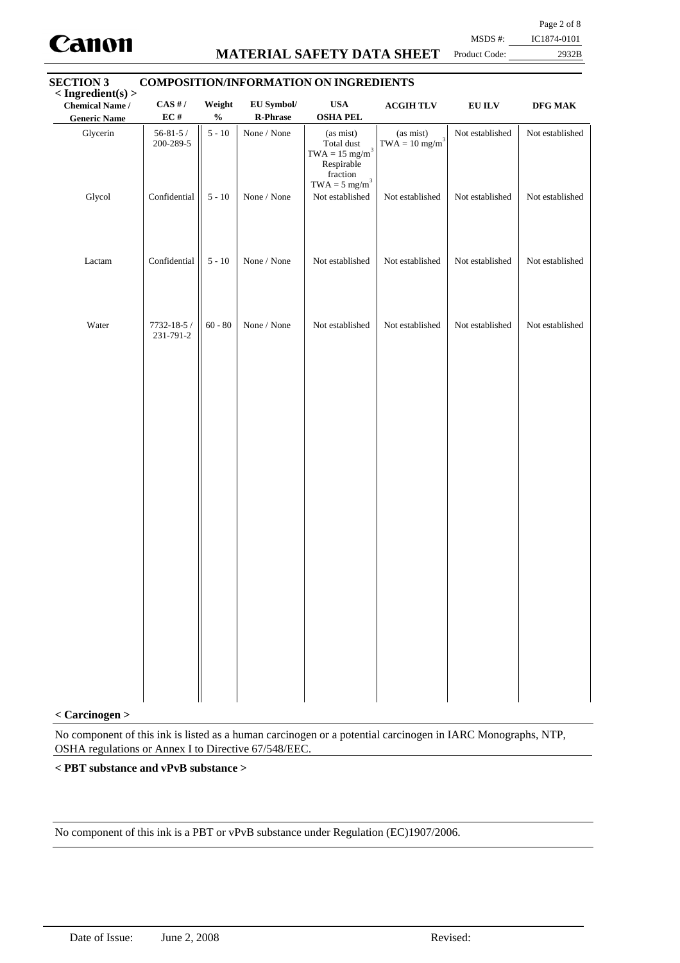

# **MATERIAL SAFETY DATA SHEET**

Page 2 of 8

MSDS #: IC1874-0101

#### Product Code: 2932B

| <b>SECTION 3</b><br>$\langle$ Ingredient(s) $>$ |                             | <b>COMPOSITION/INFORMATION ON INGREDIENTS</b> |                        |                                                                                                                    |                                           |                 |                 |
|-------------------------------------------------|-----------------------------|-----------------------------------------------|------------------------|--------------------------------------------------------------------------------------------------------------------|-------------------------------------------|-----------------|-----------------|
| <b>Chemical Name /</b><br><b>Generic Name</b>   | $CAS$ #/<br>EC#             | Weight<br>$\mathbf{0}_{\mathbf{0}}^{\prime}$  | EU Symbol/<br>R-Phrase | <b>USA</b><br><b>OSHA PEL</b>                                                                                      | <b>ACGIHTLV</b>                           | ${\bf EU~ILV}$  | $\bf{DFG}$ MAK  |
| Glycerin                                        | $56 - 81 - 5/$<br>200-289-5 | $5$ - $10\,$                                  | None / None            | (as mist)<br>Total dust<br>$\text{TWA}=15\ \text{mg/m}^3$<br>Respirable<br>fraction<br>$TWA = 5$ mg/m <sup>3</sup> | (as mist)<br>$TWA = 10$ mg/m <sup>3</sup> | Not established | Not established |
| Glycol                                          | Confidential                | $5 - 10$                                      | None / None            | Not established                                                                                                    | Not established                           | Not established | Not established |
| Lactam                                          | Confidential                | $5 - 10$                                      | None / None            | Not established                                                                                                    | Not established                           | Not established | Not established |
| Water                                           | 7732-18-5 /<br>231-791-2    | $60 - 80$                                     | None / None            | Not established                                                                                                    | Not established                           | Not established | Not established |

#### **< Carcinogen >**

No component of this ink is listed as a human carcinogen or a potential carcinogen in IARC Monographs, NTP, OSHA regulations or Annex I to Directive 67/548/EEC.

#### **< PBT substance and vPvB substance >**

No component of this ink is a PBT or vPvB substance under Regulation (EC)1907/2006.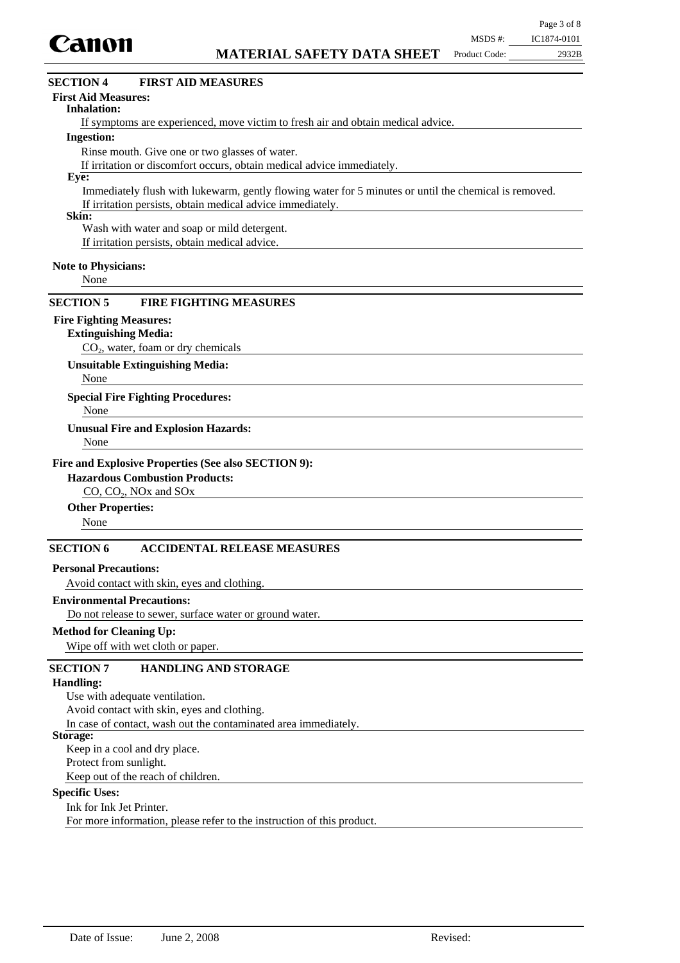

# $CO<sub>2</sub>$ , water, foam or dry chemicals **Extinguishing Media:** None **Special Fire Fighting Procedures:** None **Unusual Fire and Explosion Hazards:** CO, CO<sub>2</sub>, NO<sub>x</sub> and SO<sub>x</sub> **Hazardous Combustion Products:** None **Other Properties:** Avoid contact with skin, eyes and clothing. **Personal Precautions:** Do not release to sewer, surface water or ground water. **Environmental Precautions:** Wipe off with wet cloth or paper. **Method for Cleaning Up: Fire and Explosive Properties (See also SECTION 9): Unsuitable Extinguishing Media:** None **SECTION 6 ACCIDENTAL RELEASE MEASURES SECTION 5 FIRE FIGHTING MEASURES** Use with adequate ventilation. Avoid contact with skin, eyes and clothing. **Handling: SECTION 7 HANDLING AND STORAGE** If symptoms are experienced, move victim to fresh air and obtain medical advice. **Inhalation:** Rinse mouth. Give one or two glasses of water. If irritation or discomfort occurs, obtain medical advice immediately. **Ingestion:** Immediately flush with lukewarm, gently flowing water for 5 minutes or until the chemical is removed. If irritation persists, obtain medical advice immediately. **Eye: Note to Physicians: First Aid Measures: SECTION 4 FIRST AID MEASURES** None **Skin:** Wash with water and soap or mild detergent. If irritation persists, obtain medical advice. **Fire Fighting Measures:**

In case of contact, wash out the contaminated area immediately.

#### **Storage:**

Keep in a cool and dry place.

Protect from sunlight.

Keep out of the reach of children.

#### **Specific Uses:**

Ink for Ink Jet Printer. For more information, please refer to the instruction of this product.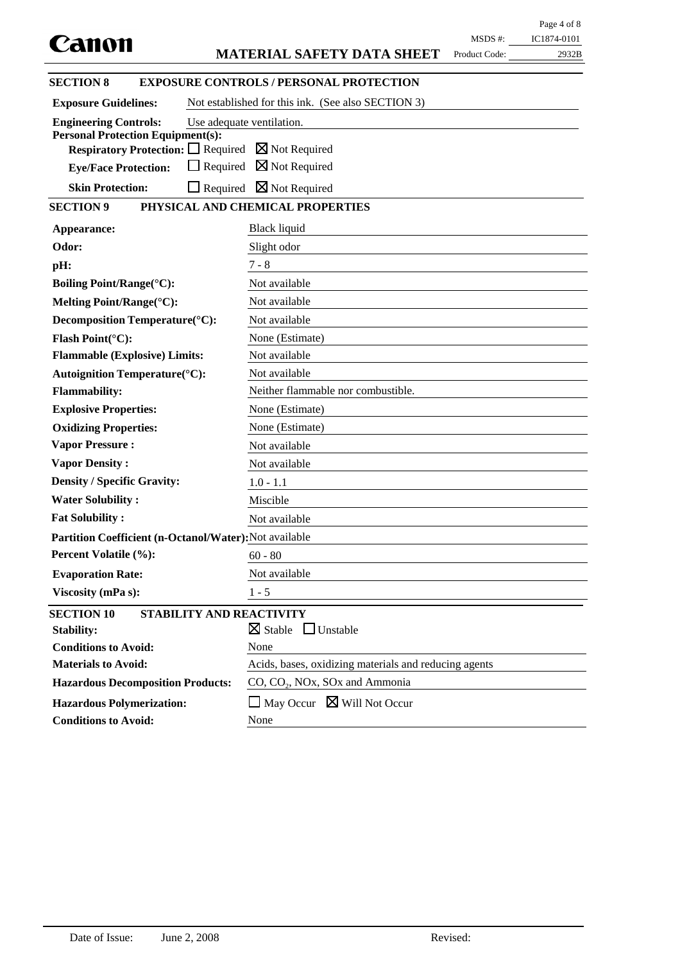|                                                                                            |                                                       |               | Page 4 of 8 |
|--------------------------------------------------------------------------------------------|-------------------------------------------------------|---------------|-------------|
| Canon                                                                                      |                                                       | $MSDS$ #:     | IC1874-0101 |
|                                                                                            | <b>MATERIAL SAFETY DATA SHEET</b>                     | Product Code: | 2932B       |
| <b>SECTION 8</b>                                                                           | <b>EXPOSURE CONTROLS / PERSONAL PROTECTION</b>        |               |             |
| <b>Exposure Guidelines:</b>                                                                | Not established for this ink. (See also SECTION 3)    |               |             |
| <b>Engineering Controls:</b>                                                               | Use adequate ventilation.                             |               |             |
| <b>Personal Protection Equipment(s):</b>                                                   |                                                       |               |             |
| <b>Respiratory Protection:</b> $\Box$ Required $\boxtimes$ Not Required<br>$\Box$ Required | $\boxtimes$ Not Required                              |               |             |
| <b>Eye/Face Protection:</b>                                                                |                                                       |               |             |
| <b>Skin Protection:</b><br>$\Box$ Required                                                 | $\boxtimes$ Not Required                              |               |             |
| <b>SECTION 9</b>                                                                           | PHYSICAL AND CHEMICAL PROPERTIES                      |               |             |
| Appearance:                                                                                | Black liquid                                          |               |             |
| Odor:                                                                                      | Slight odor                                           |               |             |
| pH:                                                                                        | $7 - 8$                                               |               |             |
| <b>Boiling Point/Range(°C):</b>                                                            | Not available                                         |               |             |
| Melting Point/Range(°C):                                                                   | Not available                                         |               |             |
| Decomposition Temperature(°C):                                                             | Not available                                         |               |             |
| Flash Point(°C):                                                                           | None (Estimate)                                       |               |             |
| <b>Flammable (Explosive) Limits:</b>                                                       | Not available                                         |               |             |
| <b>Autoignition Temperature(°C):</b>                                                       | Not available                                         |               |             |
| <b>Flammability:</b>                                                                       | Neither flammable nor combustible.                    |               |             |
| <b>Explosive Properties:</b>                                                               | None (Estimate)                                       |               |             |
| <b>Oxidizing Properties:</b>                                                               | None (Estimate)                                       |               |             |
| <b>Vapor Pressure:</b>                                                                     | Not available                                         |               |             |
| <b>Vapor Density:</b>                                                                      | Not available                                         |               |             |
| <b>Density / Specific Gravity:</b>                                                         | $1.0 - 1.1$                                           |               |             |
| <b>Water Solubility:</b>                                                                   | Miscible                                              |               |             |
| <b>Fat Solubility:</b>                                                                     | Not available                                         |               |             |
| Partition Coefficient (n-Octanol/Water): Not available                                     |                                                       |               |             |
| Percent Volatile (%):                                                                      | $60 - 80$                                             |               |             |
| <b>Evaporation Rate:</b>                                                                   | Not available                                         |               |             |
| Viscosity (mPa s):                                                                         | $1 - 5$                                               |               |             |
| <b>SECTION 10</b><br>STABILITY AND REACTIVITY                                              |                                                       |               |             |
| <b>Stability:</b>                                                                          | $\boxtimes$ Stable<br>$\Box$ Unstable                 |               |             |
| <b>Conditions to Avoid:</b>                                                                | None                                                  |               |             |
| <b>Materials to Avoid:</b>                                                                 | Acids, bases, oxidizing materials and reducing agents |               |             |
| <b>Hazardous Decomposition Products:</b>                                                   | $CO$ , $CO2$ , NOx, SOx and Ammonia                   |               |             |
| <b>Hazardous Polymerization:</b>                                                           | $\Box$ May Occur $\boxtimes$ Will Not Occur           |               |             |
| <b>Conditions to Avoid:</b>                                                                | None                                                  |               |             |
|                                                                                            |                                                       |               |             |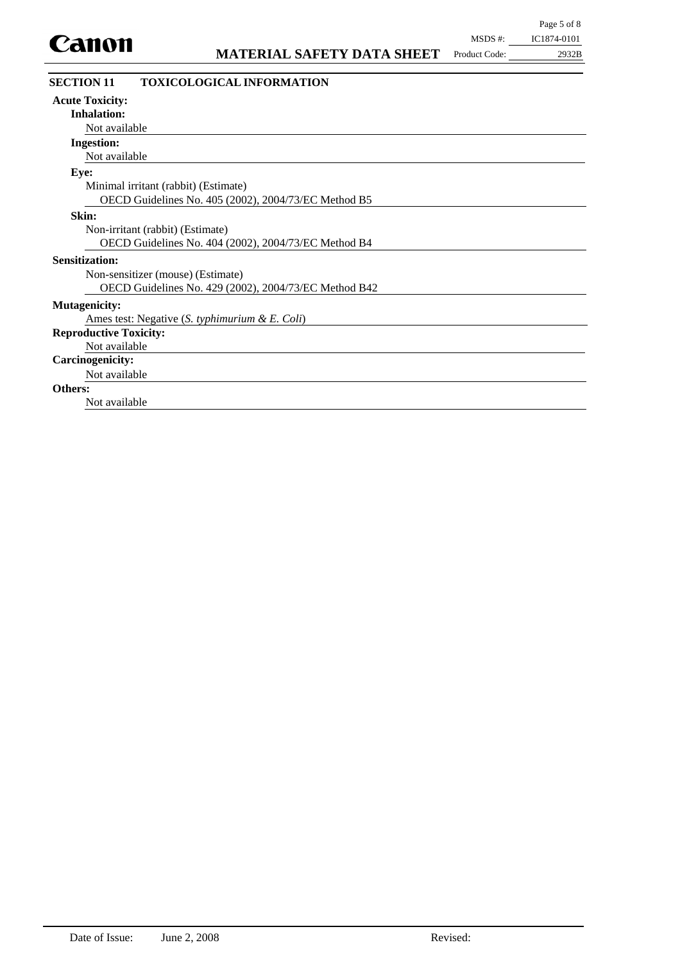| MSDS #:       | IC1874-0101 |
|---------------|-------------|
| Product Code: | 2932B       |

| <b>SECTION 11</b><br><b>TOXICOLOGICAL INFORMATION</b> |
|-------------------------------------------------------|
| <b>Acute Toxicity:</b>                                |
| <b>Inhalation:</b>                                    |
| Not available                                         |
| <b>Ingestion:</b>                                     |
| Not available                                         |
| Eye:                                                  |
| Minimal irritant (rabbit) (Estimate)                  |
| OECD Guidelines No. 405 (2002), 2004/73/EC Method B5  |
| Skin:                                                 |
| Non-irritant (rabbit) (Estimate)                      |
| OECD Guidelines No. 404 (2002), 2004/73/EC Method B4  |
| <b>Sensitization:</b>                                 |
| Non-sensitizer (mouse) (Estimate)                     |
| OECD Guidelines No. 429 (2002), 2004/73/EC Method B42 |
| <b>Mutagenicity:</b>                                  |
| Ames test: Negative (S. typhimurium & E. Coli)        |
| <b>Reproductive Toxicity:</b>                         |
| Not available                                         |
| <b>Carcinogenicity:</b>                               |
| Not available                                         |
| <b>Others:</b>                                        |
| Not available                                         |
|                                                       |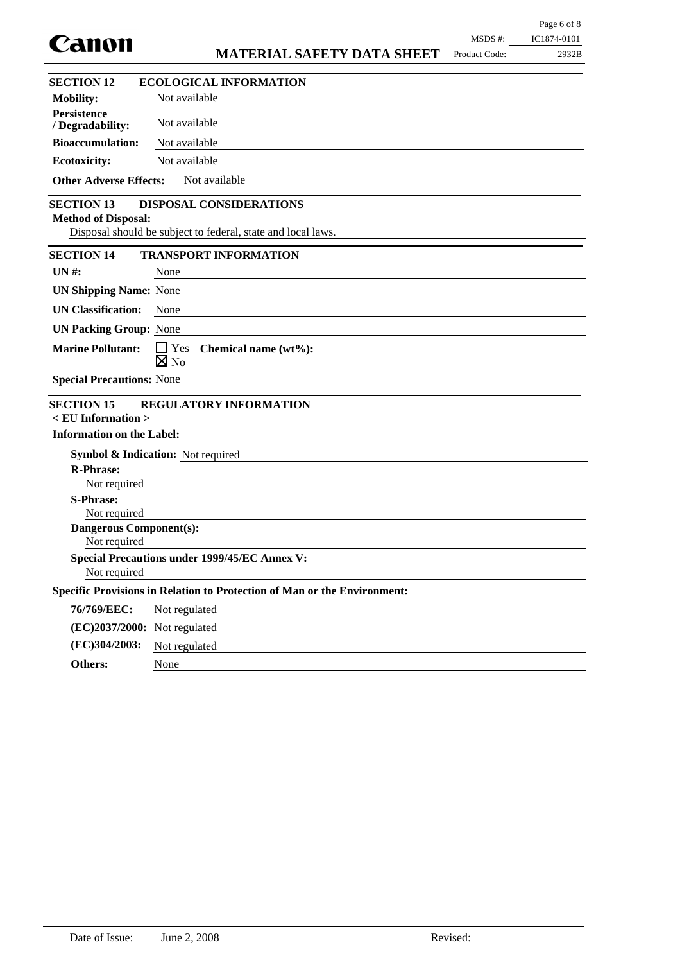| Canon                                           |                                                                                                | MSDS #:       | IC1874-0101 |
|-------------------------------------------------|------------------------------------------------------------------------------------------------|---------------|-------------|
|                                                 | <b>MATERIAL SAFETY DATA SHEET</b>                                                              | Product Code: | 2932B       |
| <b>SECTION 12</b>                               | <b>ECOLOGICAL INFORMATION</b>                                                                  |               |             |
| <b>Mobility:</b>                                | Not available                                                                                  |               |             |
| <b>Persistence</b><br>/ Degradability:          | Not available                                                                                  |               |             |
| <b>Bioaccumulation:</b>                         | Not available                                                                                  |               |             |
| <b>Ecotoxicity:</b>                             | Not available                                                                                  |               |             |
| <b>Other Adverse Effects:</b>                   | Not available                                                                                  |               |             |
| <b>SECTION 13</b><br><b>Method of Disposal:</b> | <b>DISPOSAL CONSIDERATIONS</b><br>Disposal should be subject to federal, state and local laws. |               |             |
| <b>SECTION 14</b>                               | <b>TRANSPORT INFORMATION</b>                                                                   |               |             |
| $UN#$ :                                         | None                                                                                           |               |             |
| <b>UN Shipping Name: None</b>                   |                                                                                                |               |             |
| <b>UN Classification:</b>                       | None                                                                                           |               |             |
| <b>UN Packing Group: None</b>                   |                                                                                                |               |             |
| <b>Marine Pollutant:</b>                        | $\Box$ Yes<br>Chemical name (wt%):<br>$\boxtimes$ No                                           |               |             |
| <b>Special Precautions: None</b>                |                                                                                                |               |             |
| <b>SECTION 15</b>                               | <b>REGULATORY INFORMATION</b>                                                                  |               |             |
| $\le$ EU Information $>$                        |                                                                                                |               |             |
| <b>Information on the Label:</b>                |                                                                                                |               |             |
|                                                 | <b>Symbol &amp; Indication:</b> Not required                                                   |               |             |
| <b>R-Phrase:</b><br>Not required                |                                                                                                |               |             |
| <b>S-Phrase:</b>                                |                                                                                                |               |             |
| Not required                                    |                                                                                                |               |             |
| <b>Dangerous Component(s):</b><br>Not required  |                                                                                                |               |             |
|                                                 | <b>Special Precautions under 1999/45/EC Annex V:</b>                                           |               |             |
| Not required                                    |                                                                                                |               |             |
|                                                 | Specific Provisions in Relation to Protection of Man or the Environment:                       |               |             |
| 76/769/EEC:                                     | Not regulated                                                                                  |               |             |
| (EC)2037/2000: Not regulated                    |                                                                                                |               |             |
| (EC)304/2003:                                   | Not regulated                                                                                  |               |             |
| Others:                                         | None                                                                                           |               |             |

Page 6 of 8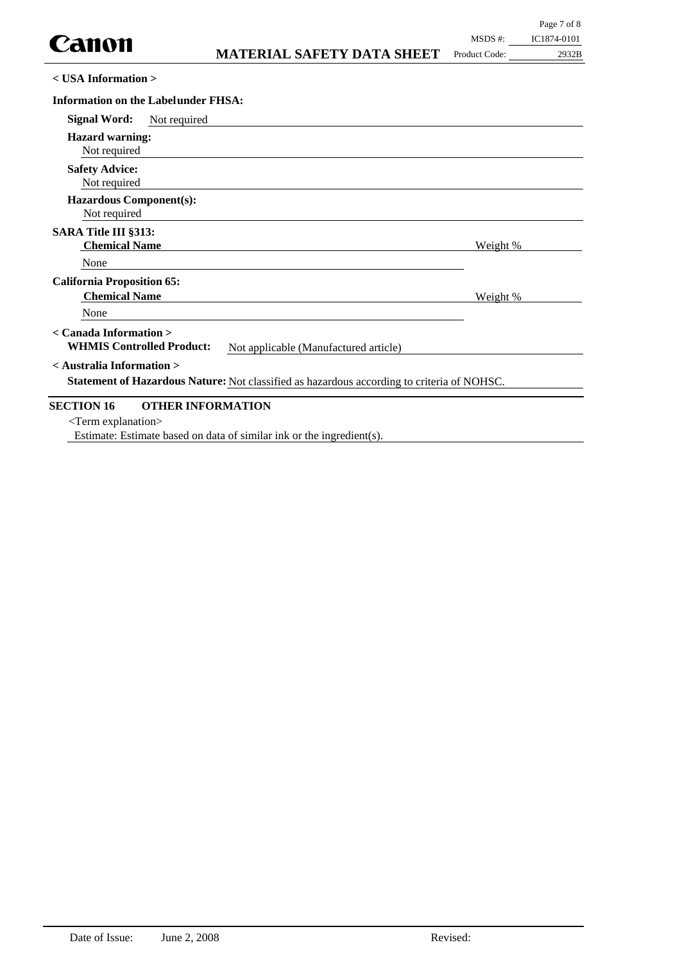| $<$ USA Information $>$                                    |              |                                                                                            |          |  |
|------------------------------------------------------------|--------------|--------------------------------------------------------------------------------------------|----------|--|
| <b>Information on the Labelunder FHSA:</b>                 |              |                                                                                            |          |  |
| <b>Signal Word:</b>                                        | Not required |                                                                                            |          |  |
| <b>Hazard warning:</b><br>Not required                     |              |                                                                                            |          |  |
| <b>Safety Advice:</b><br>Not required                      |              |                                                                                            |          |  |
| <b>Hazardous Component(s):</b><br>Not required             |              |                                                                                            |          |  |
| <b>SARA Title III §313:</b><br><b>Chemical Name</b>        |              |                                                                                            | Weight % |  |
| None                                                       |              |                                                                                            |          |  |
| <b>California Proposition 65:</b><br><b>Chemical Name</b>  |              |                                                                                            | Weight % |  |
| None                                                       |              |                                                                                            |          |  |
| < Canada Information ><br><b>WHMIS Controlled Product:</b> |              | Not applicable (Manufactured article)                                                      |          |  |
| < Australia Information >                                  |              | Statement of Hazardous Nature: Not classified as hazardous according to criteria of NOHSC. |          |  |

## **SECTION 16 OTHER INFORMATION**

<Term explanation>

Estimate: Estimate based on data of similar ink or the ingredient(s).